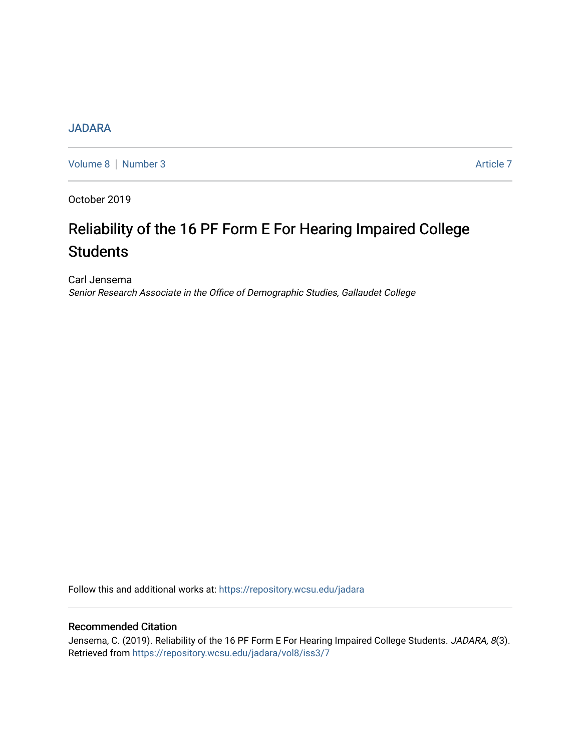# **[JADARA](https://repository.wcsu.edu/jadara)**

[Volume 8](https://repository.wcsu.edu/jadara/vol8) | [Number 3](https://repository.wcsu.edu/jadara/vol8/iss3) Article 7

October 2019

# Reliability of the 16 PF Form E For Hearing Impaired College **Students**

Carl Jensema Senior Research Associate in the Office of Demographic Studies, Gallaudet College

Follow this and additional works at: [https://repository.wcsu.edu/jadara](https://repository.wcsu.edu/jadara?utm_source=repository.wcsu.edu%2Fjadara%2Fvol8%2Fiss3%2F7&utm_medium=PDF&utm_campaign=PDFCoverPages)

# Recommended Citation

Jensema, C. (2019). Reliability of the 16 PF Form E For Hearing Impaired College Students. JADARA, 8(3). Retrieved from [https://repository.wcsu.edu/jadara/vol8/iss3/7](https://repository.wcsu.edu/jadara/vol8/iss3/7?utm_source=repository.wcsu.edu%2Fjadara%2Fvol8%2Fiss3%2F7&utm_medium=PDF&utm_campaign=PDFCoverPages)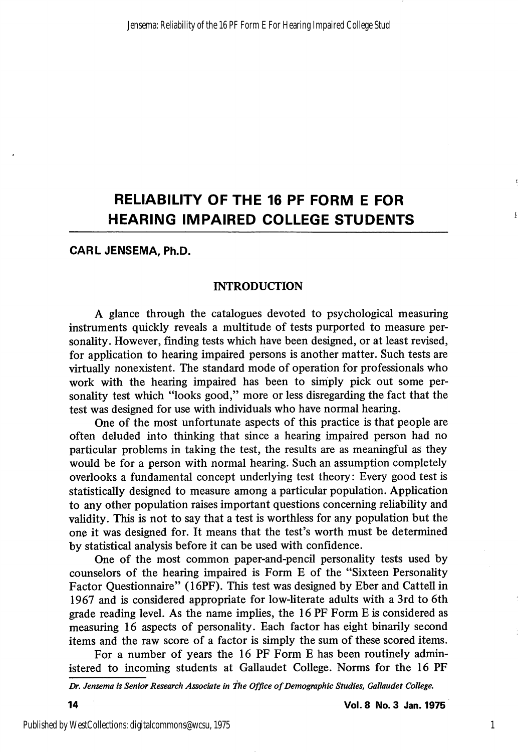# RELIABILITY OF THE 16 PF FORM E FOR HEARING IMPAIRED COLLEGE STUDENTS

#### CARL JENSEMA, Ph.D.

#### **INTRODUCTION**

A glance through the catalogues devoted to psychological measuring instruments quickly reveals a multitude of tests purported to measure per sonality. However, finding tests which have been designed, or at least revised, for application to hearing impaired persons is another matter. Such tests are virtually nonexistent. The standard mode of operation for professionals who work with the hearing impaired has been to simply pick out some personality test which "looks good," more or less disregarding the fact that the test was designed for use with individuals who have normal hearing.

One of the most unfortunate aspects of this practice is that people are often deluded into thinking that since a hearing impaired person had no particular problems in taking the test, the results are as meaningful as they would be for a person with normal hearing. Such an assumption completely overlooks a fimdamental concept underlying test theory: Every good test is statistically designed to measure among a particular population. Application to any other population raises important questions concerning reliability and validity. This is not to say that a test is worthless for any population but the one it was designed for. It means that the test's worth must be determined by statistical analysis before it can be used with confidence.

One of the most common paper-and-pencil personality tests used by counselors of the hearing impaired is Form E of the "Sixteen Personality Factor Questionnaire" (16PF). This test was designed by Eber and Cattell in 1967 and is considered appropriate for low-literate adults with a 3rd to 6th grade reading level. As the name implies, the 16 PF Form E is considered as measuring 16 aspects of personality. Each factor has eight binarily second items and the raw score of a factor is simply the sum of these scored items.

For a number of years the 16 PF Form E has been routinely admin istered to incoming students at Gallaudet College. Norms for the 16 PF

Dr. Jensema is Senior Research Associate in the Office of Demographic Studies, Galiaudet College.

14 Vot. 8 No. 3 Jan. 1975

1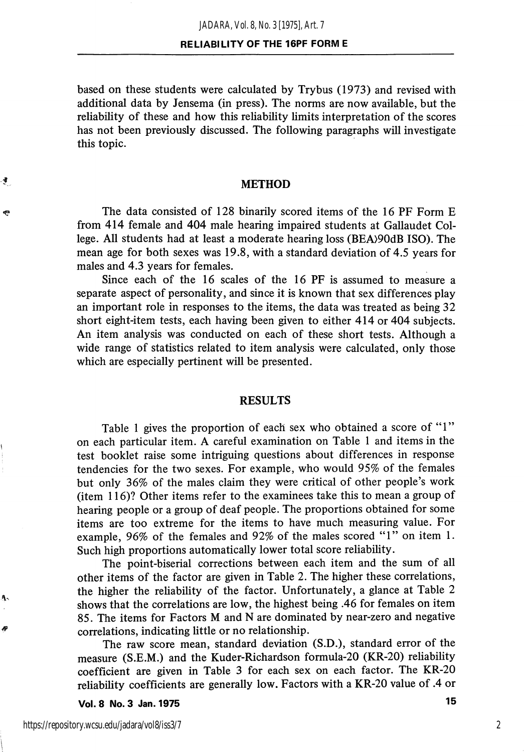based on these students were calculated by Trybus (1973) and revised with additional data by Jensema (in press). The norms are now available, but the reliability of these and how this reliability limits interpretation of the scores has not been previously discussed. The following paragraphs will investigate this topic.

#### METHOD

The data consisted of 128 binarily scored items of the 16 PF Form E from 414 female and 404 male hearing impaired students at Gallaudet Col lege. All students had at least a moderate hearing loss (BEA>90dB ISO). The mean age for both sexes was 19.8, with a standard deviation of 4.5 years for males and 4.3 years for females.

Since each of the 16 scales of the 16 PF is assumed to measure a separate aspect of personality, and since it is known that sex differences play an important role in responses to the items, the data was treated as being 32 short eight-item tests, each having been given to either 414 or 404 subjects. An item analysis was conducted on each of these short tests. Although a wide range of statistics related to item analysis were calculated, only those which are especially pertinent will be presented.

#### RESULTS

Table 1 gives the proportion of each sex who obtained a score of "1" on each particular item. A careful examination on Table 1 and items in the test booklet raise some intriguing questions about differences in response tendencies for the two sexes. For example, who would 95% of the females but only 36% of the males claim they were critical of other people's work  $(i$ tem 116)? Other items refer to the examinees take this to mean a group of hearing people or a group of deaf people. The proportions obtained for some items are too extreme for the items to have much measuring value. For example, 96% of the females and 92% of the males scored "1" on item 1. Such high proportions automatically lower total score reliability.

The point-biserial corrections between each item and the sum of all other items of the factor are given in Table 2. The higher these correlations, the higher the reliability of the factor. Unfortunately, a glance at Table 2 shows that the correlations are low, the highest being .46 for females on item 85. The items for Factors M and N are dominated by near-zero and negative correlations, indicating little or no relationship.

The raw score mean, standard deviation (S.D.), standard error of the measure (S.E.M.) and the Kuder-Richardson formula-20 (KR-20) reliability coefficient are given in Table 3 for each sex on each factor. The KR-20 reliability coefficients are generally low. Factors with a KR-20 value of .4 or

Vol. 8 No. 3 Jan. 1975 15

્ક

€

Α.

2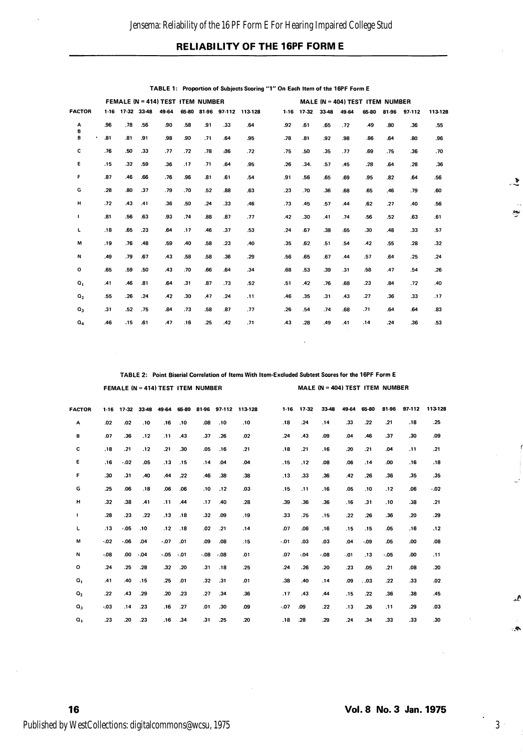### RELIABILITY OF THE 16PF FORM E

|                  | FEMALE (N = 414) TEST ITEM NUMBER |       |       |       |     |     |     | MALE (N = 404) TEST ITEM NUMBER |  |        |         |       |       |       |       |        |         |
|------------------|-----------------------------------|-------|-------|-------|-----|-----|-----|---------------------------------|--|--------|---------|-------|-------|-------|-------|--------|---------|
| <b>FACTOR</b>    | $1-16$                            | 17-32 | 33-48 | 49-64 |     |     |     | 65-80 81-96 97-112 113-128      |  | $1-16$ | $17-32$ | 33-48 | 49-64 | 65-80 | 81-96 | 97-112 | 113-128 |
| А<br>8           | .96                               | .78   | .56   | .90   | .58 | .91 | .33 | .64                             |  | .92    | .61     | .65   | .72   | .49   | .80   | .36    | .55     |
| B<br>٠           | .81                               | .81   | .91   | .98   | .90 | .71 | .64 | .95                             |  | .78    | .81     | .92   | .98   | .86   | .64   | .80    | .96     |
| с                | .76                               | .50   | .33   | .77   | .72 | .78 | .36 | .72                             |  | .75    | .50     | .35   | .77   | .69   | .75   | .36    | .70     |
| E                | .15                               | .32   | .59   | .36   | .17 | .71 | .64 | .95                             |  | .26    | .34.    | .57   | .45   | .28   | .64   | .28    | .36     |
| F                | .87                               | .46   | .66   | .76   | .96 | .81 | .61 | .54                             |  | .91    | .56     | .65   | .69   | .95   | .82   | .64    | .56     |
| G                | .28                               | .80   | .37   | .79   | .70 | .52 | .88 | .63                             |  | .23    | .70     | .36   | .68   | .65   | .46   | .79    | .60     |
| н                | .72                               | .43   | .41   | .36   | .50 | .24 | .33 | .46                             |  | .73    | .45     | .57   | .44   | .62   | .27   | .40    | .56     |
| $\mathbf{I}$     | .81                               | .56   | .63   | .93   | .74 | .88 | .87 | .77                             |  | .42    | .30     | .41   | .74   | .56   | .52   | .63    | .61     |
| L                | .18                               | .65   | .23   | .64   | .17 | .46 | .37 | .53                             |  | .24    | .67     | .38   | .65   | .30   | .48   | .33    | .57     |
| M                | .19                               | .76   | .48   | .59   | .40 | .58 | .23 | .40                             |  | .35    | .62     | .51   | .54   | .42   | .55   | .28    | .32     |
| N                | .49                               | .79   | .67   | .43   | .58 | .58 | .36 | .29                             |  | .56    | .65     | .67   | .44   | .57   | .64   | .25    | .24     |
| $\circ$          | .65                               | .59   | .50   | .43   | .70 | .66 | .64 | .34                             |  | .68    | .53     | .39   | .31   | .58   | .47   | .54    | .26     |
| $\mathbf{o}_{1}$ | .41                               | .46   | .81   | .64   | .31 | .87 | .73 | .52                             |  | .51    | .42     | .76   | .68   | .23   | .84   | .72    | .40     |
| $Q_{2}$          | .55                               | .26   | .24   | .42   | .30 | .47 | .24 | .11                             |  | .46    | .35     | .31   | .43   | .27   | .36   | .33    | .17     |
| $Q_3$            | .31                               | .52   | .75   | .84   | .73 | .58 | .87 | .77                             |  | .26    | .54     | .74   | .68   | .71   | .64   | .64    | .83     |
| $Q_4$            | .46                               | .15   | .61   | .47   | .16 | .25 | .42 | .71                             |  | .43    | .28     | .49   | .41   | .14   | .24   | .36    | .53     |

TABLE 1: Proportion of Subjects Scoring "1" On Each Item of the 16PF Form E

TABLE 2: Point Biserial Correlation of Items With Item-Excluded Subtest Scores for the 16PF Form E

FEMALE (N = 414) TEST ITEM NUMBER MALE (N = 404) TEST ITEM NUMBER

| <b>FACTOR</b>    | $1-16$ | $17 - 32$ | 33-48 | 49-64 | 65-80 |     | 81-96 97-112 | 113-128 | $1-16$  | $17-32$ | 33-48   | 49-64 | 65-80 | 81-96 | 97-112 | 113-128 |
|------------------|--------|-----------|-------|-------|-------|-----|--------------|---------|---------|---------|---------|-------|-------|-------|--------|---------|
| Α                | .02    | .02       | .10   | .16   | .10   | .08 | .10          | .10     | .18     | .24     | .14     | .33   | .22   | .21   | .18    | .25     |
| в                | .07    | .36       | .12   | .11   | .43   | .37 | .26          | .02     | .24     | .43     | .09     | .04   | .46   | .37   | .30    | .09     |
| c                | .18    | .21       | .12   | .21   | .30   | .05 | .16          | .21     | .18     | .21     | .16     | .20   | .21   | .04   | .11    | .21     |
| ε                | .16    | .02       | .05   | .13   | .15   | .14 | .04          | .04     | .15     | .12     | .08     | .06   | , 14  | .00   | .16    | .18     |
| F                | .30    | .31       | .40   | 44    | .22   | .46 | .38          | .38     | .13     | .33     | .36     | .42   | .26   | 36    | .35    | .35     |
| G                | .25    | .06       | .18   | .06   | .06   | .10 | .12          | .03     | .15     | .11     | .16     | .05   | .10   | .12   | .06    | $-0.02$ |
| н                | .32    | .38       | .41   | .11   | .44   | .17 | .40          | .28     | .39     | .36     | .36     | .16   | .31   | .10   | .38    | .21     |
| 1                | .28    | .23       | .22   | .13   | .18   | .32 | .09          | .19     | .33     | .25     | .15     | .22   | .26   | .36   | .20    | .29     |
| г                | .13    | .05       | .10   | .12   | .18   | .02 | $-21$        | .14     | .07     | .06     | .16     | .15   | .15   | .05   | .16    | .12     |
| М                | .02    | $-06$     | .04   | .07   | .01   | .09 | .08          | .15     | .01     | .03     | .03     | .04   | .09   | .05   | .00    | .08     |
| N                | .08    | .00       | .04   | .05   | $-01$ | .08 | .08          | .01     | .07     | $-04$   | $-0.08$ | .01   | .13   | $-05$ | .00    | .11     |
| $\mathbf{o}$     | .24    | .25       | .28   | .32   | .20   | .31 | .18          | .25     | .24     | .26     | .20     | .23   | .05   | .21   | .08    | .20     |
| $\mathbf{o}_{1}$ | .41    | .40       | .15   | .25   | .01   | .32 | .31          | .01     | .38     | .40     | .14     | .09   | .03   | .22   | .33    | .02     |
| O <sub>2</sub>   | .22    | .43       | .29   | .20   | .23   | .27 | .34          | .36     | .17     | .43     | .44     | .15   | .22   | .36   | .38    | .45     |
| $\mathbf{Q}_3$   | .03    | .14       | .23   | .16   | .27   | .01 | .30          | .09     | $-0.07$ | .09     | .22     | .13   | .26   | ,11   | .29    | .03     |
| $Q_4$            | .23    | .20       | .23   | .16   | .34   | .31 | .25          | .20     | .18     | .28     | .29     | .24   | .34   | .33   | .33    | .30     |

44.

 $\sim$   $\sim$ 

 $\cdot$ 

 $\sim$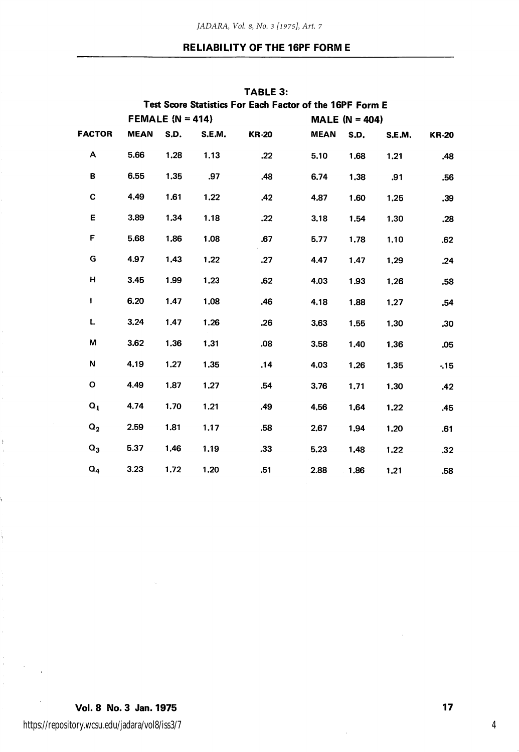## RELIABILITY OF THE 16PF FORM E

|                                                          |             |                  |        | TABLE 3:     |                  |      |        |              |  |  |  |  |  |
|----------------------------------------------------------|-------------|------------------|--------|--------------|------------------|------|--------|--------------|--|--|--|--|--|
| Test Score Statistics For Each Factor of the 16PF Form E |             |                  |        |              |                  |      |        |              |  |  |  |  |  |
|                                                          |             | FEMALE (N = 414) |        |              | MALE $(N = 404)$ |      |        |              |  |  |  |  |  |
| <b>FACTOR</b>                                            | <b>MEAN</b> | S.D.             | S.E.M. | <b>KR-20</b> | <b>MEAN</b>      | S.D. | S.E.M. | <b>KR-20</b> |  |  |  |  |  |
| Α                                                        | 5.66        | 1.28             | 1.13   | .22          | 5.10             | 1.68 | 1.21   | .48          |  |  |  |  |  |
| в                                                        | 6.55        | 1.35             | .97    | .48          | 6.74             | 1.38 | .91    | .56          |  |  |  |  |  |
| C                                                        | 4.49        | 1.61             | 1.22   | .42          | 4.87             | 1.60 | 1,25   | .39          |  |  |  |  |  |
| Ε                                                        | 3.89        | 1.34             | 1.18   | .22          | 3.18             | 1.54 | 1,30   | .28          |  |  |  |  |  |
| F                                                        | 5.68        | 1.86             | 1.08   | .67          | 5.77             | 1.78 | 1.10   | .62          |  |  |  |  |  |
| G                                                        | 4,97        | 1,43             | 1.22   | .27          | 4.47             | 1.47 | 1,29   | .24          |  |  |  |  |  |
| н                                                        | 3.45        | 1.99             | 1.23   | .62          | 4.03             | 1.93 | 1,26   | .58          |  |  |  |  |  |
| Ł                                                        | 6.20        | 1.47             | 1,08   | .46          | 4.18             | 1.88 | 1.27   | .54          |  |  |  |  |  |
| L                                                        | 3.24        | 1.47             | 1.26   | .26          | 3.63             | 1.55 | 1.30   | .30          |  |  |  |  |  |
| M                                                        | 3.62        | 1.36             | 1,31   | .08          | 3.58             | 1.40 | 1,36   | .05          |  |  |  |  |  |
| Ν                                                        | 4.19        | 1.27             | 1.35   | .14          | 4.03             | 1.26 | 1.35   | $-15$        |  |  |  |  |  |
| О                                                        | 4.49        | 1.87             | 1.27   | .54          | 3.76             | 1.71 | 1.30   | .42          |  |  |  |  |  |
| $\mathbf{Q}_1$                                           | 4.74        | 1.70             | 1.21   | .49          | 4,56             | 1,64 | 1.22   | .45          |  |  |  |  |  |
| $\mathsf{Q}_2$                                           | 2.59        | 1.81             | 1.17   | .58          | 2.67             | 1,94 | 1.20   | .61          |  |  |  |  |  |
| $\mathbf{Q}_3$                                           | 5,37        | 1.46             | 1.19   | .33          | 5.23             | 1.48 | 1.22   | .32          |  |  |  |  |  |
| $Q_4$                                                    | 3.23        | 1.72             | 1.20   | .51          | 2.88             | 1.86 | 1,21   | .58          |  |  |  |  |  |

Vol. 8 No. 3 Jan. 1975 17

https://repository.wcsu.edu/jadara/vol8/iss3/7

 $\mathbf{I}$ Î.

ý.

ŧ.

ĵ.  $\sim$ 

4